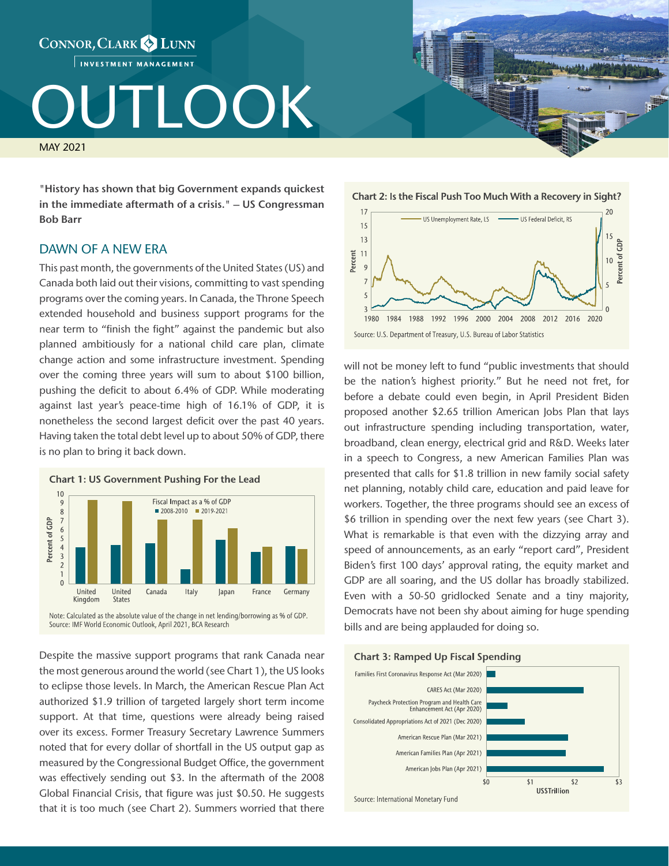# CONNOR, CLARK & LUNN INVESTMENT MANAGEMENT

# TLOOK

MAY 2021

"History has shown that big Government expands quickest in the immediate aftermath of a crisis." – US Congressman Bob Barr

## DAWN OF A NEW ERA

This past month, the governments of the United States (US) and Canada both laid out their visions, committing to vast spending programs over the coming years. In Canada, the Throne Speech extended household and business support programs for the near term to "finish the fight" against the pandemic but also planned ambitiously for a national child care plan, climate change action and some infrastructure investment. Spending over the coming three years will sum to about \$100 billion, pushing the deficit to about 6.4% of GDP. While moderating against last year's peace-time high of 16.1% of GDP, it is nonetheless the second largest deficit over the past 40 years. Having taken the total debt level up to about 50% of GDP, there is no plan to bring it back down.



Despite the massive support programs that rank Canada near the most generous around the world (see Chart 1), the US looks to eclipse those levels. In March, the American Rescue Plan Act authorized \$1.9 trillion of targeted largely short term income support. At that time, questions were already being raised over its excess. Former Treasury Secretary Lawrence Summers noted that for every dollar of shortfall in the US output gap as measured by the Congressional Budget Office, the government was effectively sending out \$3. In the aftermath of the 2008 Global Financial Crisis, that figure was just \$0.50. He suggests that it is too much (see Chart 2). Summers worried that there





will not be money left to fund "public investments that should be the nation's highest priority." But he need not fret, for before a debate could even begin, in April President Biden proposed another \$2.65 trillion American Jobs Plan that lays out infrastructure spending including transportation, water, broadband, clean energy, electrical grid and R&D. Weeks later in a speech to Congress, a new American Families Plan was presented that calls for \$1.8 trillion in new family social safety net planning, notably child care, education and paid leave for workers. Together, the three programs should see an excess of \$6 trillion in spending over the next few years (see Chart 3). What is remarkable is that even with the dizzying array and speed of announcements, as an early "report card", President Biden's first 100 days' approval rating, the equity market and GDP are all soaring, and the US dollar has broadly stabilized. Even with a 50-50 gridlocked Senate and a tiny majority, Democrats have not been shy about aiming for huge spending bills and are being applauded for doing so.





Source: International Monetary Fund